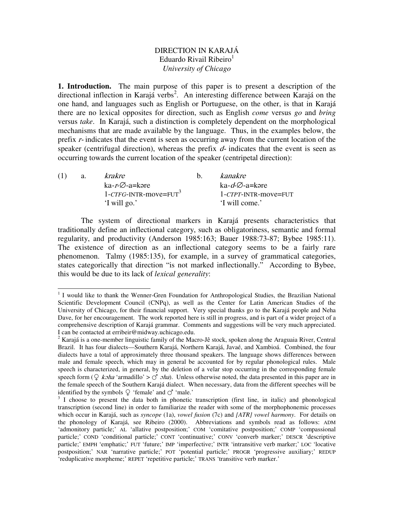## DIRECTION IN KARAJÁ Eduardo Rivail Ribeiro<sup>1</sup> *University of Chicago*

**1. Introduction.** The main purpose of this paper is to present a description of the directional inflection in Karajá verbs 2 . An interesting difference between Karajá on the one hand, and languages such as English or Portuguese, on the other, is that in Karajá there are no lexical opposites for direction, such as English *come* versus *go* and *bring* versus *take*. In Karajá, such a distinction is completely dependent on the morphological mechanisms that are made available by the language. Thus, in the examples below, the prefix  $r$ -indicates that the event is seen as occurring away from the current location of the speaker (centrifugal direction), whereas the prefix  $d$ - indicates that the event is seen as occurring towards the current location of the speaker (centripetal direction):

| (1) | a. | krakre                               | kanakre                             |
|-----|----|--------------------------------------|-------------------------------------|
|     |    | $ka-r-O-a=k$                         | ka- <i>d-</i> $\varnothing$ -a=kəre |
|     |    | $1$ -CTFG-INTR-move=FUT <sup>3</sup> | $1$ - $CTPT$ -INTR-move=FUT         |
|     |    | 'I will go.'                         | 'I will come.'                      |
|     |    |                                      |                                     |

The system of directional markers in Karajá presents characteristics that traditionally define an inflectional category, such as obligatoriness, semantic and formal regularity, and productivity (Anderson 1985:163; Bauer 1988:73-87; Bybee 1985:11). The existence of direction as an inflectional category seems to be a fairly rare phenomenon. Talmy (1985:135), for example, in a survey of grammatical categories, states categorically that direction "is not marked inflectionally." According to Bybee, this would be due to its lack of *lexical generality*:

<sup>&</sup>lt;sup>1</sup> I would like to thank the Wenner-Gren Foundation for Anthropological Studies, the Brazilian National Scientific Development Council (CNPq), as well as the Center for Latin American Studies of the University of Chicago, for their financial support. Very special thanks go to the Karajá people and Neha Dave, for her encouragement. The work reported here is still in progress, and is part of a wider project of a comprehensive description of Karajá grammar. Comments and suggestions will be very much appreciated. I can be contacted at erribeir@midway.uchicago.edu.

<sup>&</sup>lt;sup>2</sup> Karajá is a one-member linguistic family of the Macro-Jê stock, spoken along the Araguaia River, Central Brazil. It has four dialects—Southern Karajá, Northern Karajá, Javaé, and Xambioá. Combined, the four dialects have a total of approximately three thousand speakers. The language shows differences between male and female speech, which may in general be accounted for by regular phonological rules. Male speech is characterized, in general, by the deletion of a velar stop occurring in the corresponding female speech form ( $\mathcal{Q}$  *koha* 'armadillo' >  $\circ$  *oha*). Unless otherwise noted, the data presented in this paper are in the female speech of the Southern Karajá dialect. When necessary, data from the different speeches will be identified by the symbols  $\mathcal{Q}$  'female' and  $\mathcal{O}'$  'male.'

<sup>&</sup>lt;sup>3</sup> I choose to present the data both in phonetic transcription (first line, in italic) and phonological transcription (second line) in order to familiarize the reader with some of the morphophonemic processes which occur in Karajá, such as *syncope* (1a), *vowel fusion* (7c) and *[ATR] vowel harmony*. For details on the phonology of Karajá, see Ribeiro (2000). Abbreviations and symbols read as follows: ADM 'admonitory particle;' AL 'allative postposition;' COM 'comitative postposition;' COMP 'compassional particle;' COND 'conditional particle;' CONT 'continuative;' CONV 'converb marker;' DESCR 'descriptive particle;' EMPH 'emphatic;' FUT 'future;' IMP 'imperfective;' INTR 'intransitive verb marker;' LOC 'locative particle; EMIT emphasic, Tel Tatale; and imperfective, The manual (progressive auxiliary; REDUP postposition; NAR 'narrative particle;' POT 'potential particle;' PROGR 'progressive auxiliary;' REDUP 'reduplicative morpheme;' REPET 'repetitive particle;' TRANS 'transitive verb marker.'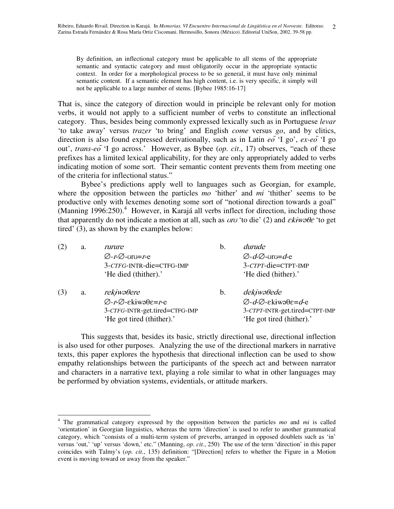By definition, an inflectional category must be applicable to all stems of the appropriate semantic and syntactic category and must obligatorily occur in the appropriate syntactic context. In order for a morphological process to be so general, it must have only minimal semantic content. If a semantic element has high content, i.e. is very specific, it simply will not be applicable to a large number of stems. [Bybee 1985:16-17]

That is, since the category of direction would in principle be relevant only for motion verbs, it would not apply to a sufficient number of verbs to constitute an inflectional category. Thus, besides being commonly expressed lexically such as in Portuguese *levar* 'to take away' versus *trazer* 'to bring' and English *come* versus *go*, and by clitics, direction is also found expressed derivationally, such as in Latin  $e\overline{\phi}$  'I go',  $e\overline{x}$ - $e\overline{\phi}$  'I go out', *trans-eo* 'I go across.' However, as Bybee (*op. cit*., 17) observes, "each of these prefixes has a limited lexical applicability, for they are only appropriately added to verbs indicating motion of some sort. Their semantic content prevents them from meeting one of the criteria for inflectional status."

Bybee's predictions apply well to languages such as Georgian, for example, where the opposition between the particles *mo* 'hither' and *mi* 'thither' seems to be productive only with lexemes denoting some sort of "notional direction towards a goal" (Manning 1996:250). <sup>4</sup> However, in Karajá all verbs inflect for direction, including those that apparently do not indicate a motion at all, such as  $\partial u$  'to die' (2) and  $\partial \mathcal{L}$  to get tired' (3), as shown by the examples below:

| (2) | a. | rurure                                                | b. | durude                                                        |
|-----|----|-------------------------------------------------------|----|---------------------------------------------------------------|
|     |    | $\varnothing$ -r- $\varnothing$ -vrv=r-e              |    | $\varnothing$ -d- $\varnothing$ -vrv=d-e                      |
|     |    | 3-CTFG-INTR-die=CTFG-IMP                              |    | 3-CTPT-die=CTPT-IMP                                           |
|     |    | 'He died (thither).'                                  |    | 'He died (hither).'                                           |
| (3) | a. | rekiwaθere                                            | b. | dekiwa0ede                                                    |
|     |    | $\varnothing$ -r- $\varnothing$ -ekiwə $\theta$ e=r-e |    | $\varnothing$ - $d$ - $\varnothing$ -ekiwə $\theta$ e= $d$ -e |
|     |    | 3-CTFG-INTR-get.tired=CTFG-IMP                        |    | 3-CTPT-INTR-get.tired=CTPT-IMP                                |
|     |    | 'He got tired (thither).'                             |    | 'He got tired (hither).'                                      |

This suggests that, besides its basic, strictly directional use, directional inflection is also used for other purposes. Analyzing the use of the directional markers in narrative texts, this paper explores the hypothesis that directional inflection can be used to show empathy relationships between the participants of the speech act and between narrator and characters in a narrative text, playing a role similar to what in other languages may be performed by obviation systems, evidentials, or attitude markers.

<sup>4</sup> The grammatical category expressed by the opposition between the particles *mo* and *mi* is called 'orientation' in Georgian linguistics, whereas the term 'direction' is used to refer to another grammatical category, which "consists of a multi-term system of preverbs, arranged in opposed doublets such as 'in' versus 'out,' 'up' versus 'down,' etc." (Manning, *op. cit.*, 250) The use of the term 'direction' in this paper coincides with Talmy's (*op. cit.*, 135) definition: "[Direction] refers to whether the Figure in a Motion event is moving toward or away from the speaker."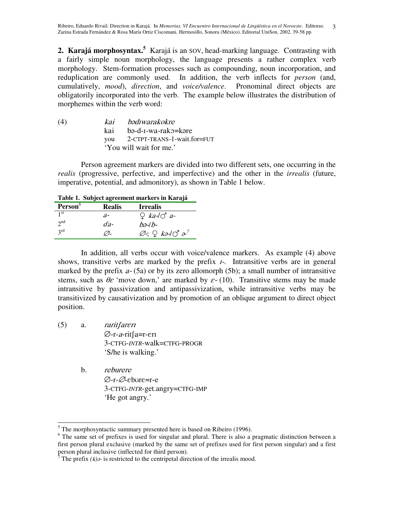2. Karajá morphosyntax.<sup>5</sup> Karajá is an SOV, head-marking language. Contrasting with a fairly simple noun morphology, the language presents a rather complex verb morphology. Stem-formation processes such as compounding, noun incorporation, and reduplication are commonly used. In addition, the verb inflects for *person* (and, cumulatively, *mood*), *direction*, and *voice/valence*. Pronominal direct objects are obligatorily incorporated into the verb. The example below illustrates the distribution of morphemes within the verb word:

| (4) | kai bədiwarakokre               |
|-----|---------------------------------|
|     | kai bə-d-I-wa-rako=kəre         |
|     | you 2-CTPT-TRANS-1-wait.for=FUT |
|     | 'You will wait for me.'         |

Person agreement markers are divided into two different sets, one occurring in the *realis* (progressive, perfective, and imperfective) and the other in the *irrealis* (future, imperative, potential, and admonitory), as shown in Table 1 below.

**Table 1. Subject agreement markers in Karajá**

| Person <sup>6</sup> | <b>Realis</b> | <b>Irrealis</b>                                               |
|---------------------|---------------|---------------------------------------------------------------|
| 1 <sup>st</sup>     | а-            | $Q$ ka- $\overrightarrow{O}$ a-                               |
| $2^{nd}$            | da-           | bə-lb-                                                        |
| $2^{\text{rd}}$     |               | $\varnothing$ -; $\Omega$ kə-l $\mathcal{O}$ ə- $\mathcal{O}$ |

In addition, all verbs occur with voice/valence markers. As example (4) above shows, transitive verbs are marked by the prefix  $I$ -. Intransitive verbs are in general marked by the prefix  $a - (5a)$  or by its zero allomorph (5b); a small number of intransitive stems, such as  $\theta \varepsilon$  'move down,' are marked by  $\varepsilon$ - (10). Transitive stems may be made intransitive by passivization and antipassivization, while intransitive verbs may be transitivized by causativization and by promotion of an oblique argument to direct object position.

- (5) a. Ø-r-*a*-rit∫a=r-erı 3-CTFG-*INTR*-walk=CTFG-PROGR 'S/he is walking.'
	- b. *reburere* Ø-r-Ø-eb∪re=r-e 3-CTFG-*INTR*-get.angry=CTFG-IMP 'He got angry.'

<sup>&</sup>lt;sup>5</sup> The morphosyntactic summary presented here is based on Ribeiro (1996).

<sup>&</sup>lt;sup>6</sup> The same set of prefixes is used for singular and plural. There is also a pragmatic distinction between a first person plural exclusive (marked by the same set of prefixes used for first person singular) and a first person plural inclusive (inflected for third person).

<sup>&</sup>lt;sup>7</sup> The prefix  $(k)$  is restricted to the centripetal direction of the irrealis mood.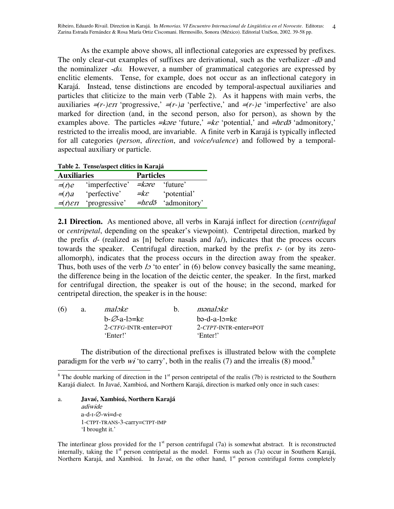Ribeiro, Eduardo Rivail. Direction in Karajá. In *Memorias. VI Encuentro Internacional de Lingüística en el Noroeste*. Editoras: 4 Zarina Estrada Fernández & Rosa María Ortiz Ciscomani. Hermosillo, Sonora (México). Editorial UniSon, 2002. 39-58 pp.

As the example above shows, all inflectional categories are expressed by prefixes. The only clear-cut examples of suffixes are derivational, such as the verbalizer -  $d\tilde{\sigma}$  and the nominalizer  $-d\sigma$ . However, a number of grammatical categories are expressed by enclitic elements. Tense, for example, does not occur as an inflectional category in Karajá. Instead, tense distinctions are encoded by temporal-aspectual auxiliaries and particles that cliticize to the main verb (Table 2). As it happens with main verbs, the auxiliaries  $\neq (r-)$  *err* 'progressive,'  $\neq (r-)$  a 'perfective,' and  $\neq (r-)$  e 'imperfective' are also marked for direction (and, in the second person, also for person), as shown by the examples above. The particles  $\neq$ kare 'future,'  $\neq$ ke 'potential,' and  $\neq$ hed $\tilde{\sigma}$ 'admonitory,' restricted to the irrealis mood, are invariable. A finite verb in Karajá is typically inflected for all categories (*person*, *direction*, and *voice/valence*) and followed by a temporalaspectual auxiliary or particle.

**Table 2. Tense/aspect clitics in Karajá**

| <b>Auxiliaries</b> |                | <b>Particles</b>   |                                                        |  |
|--------------------|----------------|--------------------|--------------------------------------------------------|--|
| $=(r)e$            | 'imperfective' |                    | <i>=kare</i> 'future'                                  |  |
| $=(r)a$            | 'perfective'   | $=$ $k\varepsilon$ | 'potential'                                            |  |
| $=(r)\epsilon r$   | 'progressive'  |                    | $=$ hed <sup><math>\tilde{a}</math></sup> 'admonitory' |  |

**2.1 Direction.** As mentioned above, all verbs in Karajá inflect for direction (*centrifugal* or *centripetal*, depending on the speaker's viewpoint). Centripetal direction, marked by the prefix  $d$ - (realized as [n] before nasals and  $\langle a \rangle$ , indicates that the process occurs towards the speaker. Centrifugal direction, marked by the prefix  $r$ - (or by its zeroallomorph), indicates that the process occurs in the direction away from the speaker. Thus, both uses of the verb  $l_2$  'to enter' in (6) below convey basically the same meaning, the difference being in the location of the deictic center, the speaker. In the first, marked for centrifugal direction, the speaker is out of the house; in the second, marked for centripetal direction, the speaker is in the house:

| (6) | a. | maloke                   | mənaləke                         |
|-----|----|--------------------------|----------------------------------|
|     |    | $b-\varnothing$ -a-lo=ke | $b$ ə-d-a-l $c$ =k $\varepsilon$ |
|     |    | $2$ -CTFG-INTR-enter=POT | $2$ -CTPT-INTR-enter=POT         |
|     |    | 'Enter!'                 | 'Enter!'                         |

The distribution of the directional prefixes is illustrated below with the complete paradigm for the verb  $w\dot{i}$  'to carry', both in the realis (7) and the irrealis (8) mood.<sup>8</sup>

a. **Javaé, Xambioá, Northern Karajá** adiwide a-d-1-∅-wɨ=d-e 1-CTPT-TRANS-3-carry=CTPT-IMP 'I brought it.'

<sup>&</sup>lt;sup>8</sup> The double marking of direction in the  $1<sup>st</sup>$  person centripetal of the realis (7b) is restricted to the Southern Karajá dialect. In Javaé, Xambioá, and Northern Karajá, direction is marked only once in such cases:

The interlinear gloss provided for the  $1<sup>st</sup>$  person centrifugal (7a) is somewhat abstract. It is reconstructed internally, taking the 1<sup>st</sup> person centripetal as the model. Forms such as (7a) occur in Southern Karajá, Northern Karajá, and Xambioá. In Javaé, on the other hand, 1<sup>st</sup> person centrifugal forms completely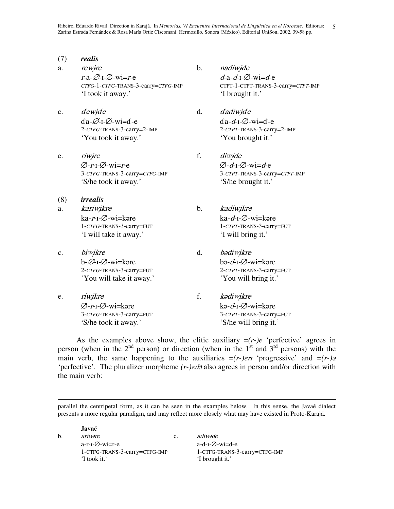- (7) *realis*
- a. rewire b. nadiwide *r*-a-∅-1-∅-wi=*r* $e$   $d$ 'I took it away.' 'I brought it.'
- c. dewide d. dadiwide da-Ø-1-Ø-wi=de da-'You took it away.' 'You brought it.'
- e. *riwire* f. *diwide* Ø-*r*-1-Ø-w<del>i</del>=*r*e  $\varnothing$ -'S/he took it away.' 'S/he brought it.'
- (8) *irrealis* a. kariwikre b. kadiwikre ka-*r*-1-Ø-w<del>i</del>=kə
- c. biwikre d. b-Ø-1-Ø-w<del>i</del>=kə
- e. *riwikre* f. Ø-*r*-1-Ø-w<del>i</del>=kə
- a-*d*-1-∅-wi=*d*-e *CTFG*-1-*CTFG*-TRANS-3-carry=*CTFG*-IMP CTPT-1-CTPT-TRANS-3-carry=*CTPT*-IMP
- $d$ -I- $\varnothing$ -wi=d-e 2-*CTFG*-TRANS-3-carry=2-IMP 2-*CTPT*-TRANS-3-carry=2-IMP
- $d$ -I-Ø-wi= $d$ -e 3-*CTFG*-TRANS-3-carry=*CTFG*-IMP 3-*CTPT*-TRANS-3-carry=*CTPT*-IMP
- re kad-1-Ø-wi=kəre 1-*CTFG*-TRANS-3-carry=FUT 1-*CTPT*-TRANS-3-carry=FUT 'I will take it away.' 'I will bring it.'
- bədiwikre re be -*d*-1-∅-w<del>i</del>=kəre 2-*CTFG*-TRANS-3-carry=FUT 2-*CTPT*-TRANS-3-carry=FUT 'You will take it away.' 'You will bring it.'
- kədiwikre re kə -*d*-1-∅-w<del>i</del>=kəre 3-*CTFG*-TRANS-3-carry=FUT 3-*CTPT*-TRANS-3-carry=FUT 'S/he took it away.' 'S/he will bring it.'

As the examples above show, the clitic auxiliary  $=(r-e)^e$  'perfective' agrees in person (when in the  $2<sup>nd</sup>$  person) or direction (when in the  $1<sup>st</sup>$  and  $3<sup>rd</sup>$  persons) with the main verb, the same happening to the auxiliaries  $=(r-)$ *eri* 'progressive' and  $=(r-)$ *a* 'perfective'. The pluralizer morpheme *(r-)ed*<sup>3</sup> also agrees in person and/or direction with the main verb:

parallel the centripetal form, as it can be seen in the examples below. In this sense, the Javaé dialect presents a more regular paradigm, and may reflect more closely what may have existed in Proto-Karajá.

**Javaé** b. ariwire c. adiwide a-r-1-∅-w<del>i</del>=r $e$  ad-1-∅-w<del>i</del>=d-e 1-CTFG-TRANS-3-carry=CTFG-IMP 1-CTFG-TRANS-3-carry=CTFG-IMP 'I took it.' 'I brought it.'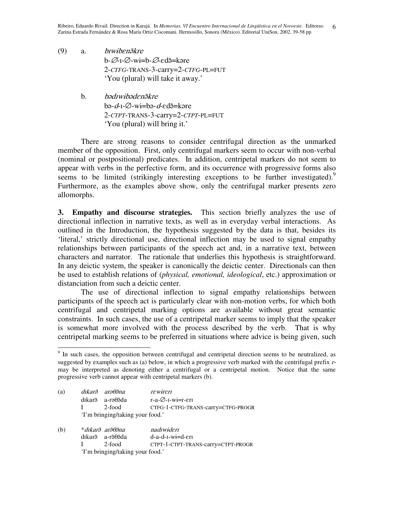- (9) a. *biwiben a*kre b-∅-1-∅-w<del>i</del>=b-∅-edã=kəre 2-*CTFG*-TRANS-3-carry=2-*CTFG*-PL=FUT 'You (plural) will take it away.'
	- b. *bədrwibədenə̃kre* bə-*d*-1-Ø-w<del>i</del>=bə-*d*-edə̃=kəre 2-*CTPT*-TRANS-3-carry=2-*CTPT*-PL=FUT 'You (plural) will bring it.'

There are strong reasons to consider centrifugal direction as the unmarked member of the opposition. First, only centrifugal markers seem to occur with non-verbal (nominal or postpositional) predicates. In addition, centripetal markers do not seem to appear with verbs in the perfective form, and its occurrence with progressive forms also seems to be limited (strikingly interesting exceptions to be further investigated).<sup>9</sup> Furthermore, as the examples above show, only the centrifugal marker presents zero allomorphs.

**3. Empathy and discourse strategies.** This section briefly analyzes the use of directional inflection in narrative texts, as well as in everyday verbal interactions. As outlined in the Introduction, the hypothesis suggested by the data is that, besides its 'literal,' strictly directional use, directional inflection may be used to signal empathy relationships between participants of the speech act and, in a narrative text, between characters and narrator. The rationale that underlies this hypothesis is straightforward. In any deictic system, the speaker is canonically the deictic center. Directionals can then be used to establish relations of (*physical, emotional, ideological*, etc.) approximation or distanciation from such a deictic center.

The use of directional inflection to signal empathy relationships between participants of the speech act is particularly clear with non-motion verbs, for which both centrifugal and centripetal marking options are available without great semantic constraints. In such cases, the use of a centripetal marker seems to imply that the speaker is somewhat more involved with the process described by the verb. That is why centripetal marking seems to be preferred in situations where advice is being given, such

<sup>&</sup>lt;sup>9</sup> In such cases, the opposition between centrifugal and centripetal direction seems to be neutralized, as suggested by examples such as (a) below, in which a progressive verb marked with the centrifugal prefix rmay be interpreted as denoting either a centrifugal or a centripetal motion. Notice that the same progressive verb cannot appear with centripetal markers (b).

| (a) |              | dıkarş arəfləna                  | <i>rewireri</i>                      |
|-----|--------------|----------------------------------|--------------------------------------|
|     |              | dīkarā a-raθāda                  | $r-a-\varnothing -r-wi=r-\epsilon r$ |
|     | $\mathbf{I}$ | 2-food                           | CTFG-1-CTFG-TRANS-carry=CTFG-PROGR   |
|     |              | 'I'm bringing/taking your food.' |                                      |
|     |              |                                  |                                      |

(b) \**dıkar<del>ə</del> arə̃0ə*. nadrwiderr dıkar $\tilde{a}$  a-r $\tilde{a}$ 03'da da-d-1-w<del>i</del>=d-εrī I 2-food CTPT-1-CTPT-TRANS-carry=CTPT-PROGR 'I'm bringing/taking your food.'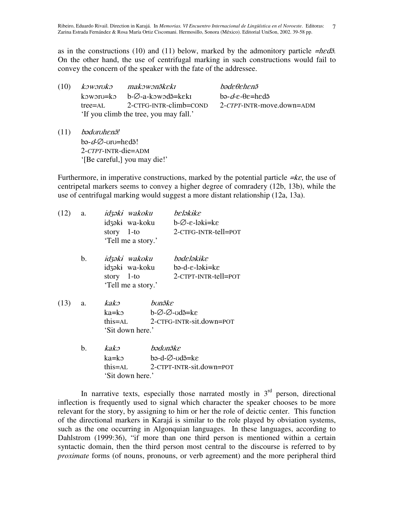as in the constructions (10) and (11) below, marked by the admonitory particle  $=$ hed<sup> $\tilde{a}$ </sup>. On the other hand, the use of centrifugal marking in such constructions would fail to convey the concern of the speaker with the fate of the addressee.

| (10) |           | koworuko makowonãkeki                                    | bədeflehenə                                |
|------|-----------|----------------------------------------------------------|--------------------------------------------|
|      |           | koworu=ko b- $\emptyset$ -a-kowod $\tilde{\theta}$ =keki | bə- $d$ - $\varepsilon$ - $\theta$ e=hedə̃ |
|      | $tree=AI$ | 2-CTFG-INTR-climb=COND                                   | 2-CTPT-INTR-move.down=ADM                  |
|      |           | 'If you climb the tree, you may fall.'                   |                                            |
|      |           |                                                          |                                            |

(11) *!* bə-*d*-Ø-vrv=hedə! 2-*CTPT*-INTR-die=ADM '[Be careful,] you may die!'

Furthermore, in imperative constructions, marked by the potential particle  $=k\varepsilon$ , the use of centripetal markers seems to convey a higher degree of comradery (12b, 13b), while the use of centrifugal marking would suggest a more distant relationship (12a, 13a).

| a.             |               |          | beləkike                                                                                                                                                                                                                                                                                                |
|----------------|---------------|----------|---------------------------------------------------------------------------------------------------------------------------------------------------------------------------------------------------------------------------------------------------------------------------------------------------------|
|                |               |          | b-Ø-ε-ləki=kε                                                                                                                                                                                                                                                                                           |
|                | story $1$ -to |          | 2-CTFG-INTR-tell=POT                                                                                                                                                                                                                                                                                    |
|                |               |          |                                                                                                                                                                                                                                                                                                         |
| $\mathbf{b}$ . |               |          | bədeləkike                                                                                                                                                                                                                                                                                              |
|                |               |          |                                                                                                                                                                                                                                                                                                         |
|                | story $1$ -to |          | 2-CTPT-INTR-tell=POT                                                                                                                                                                                                                                                                                    |
|                |               |          |                                                                                                                                                                                                                                                                                                         |
| а.             | kako          | bunəke   |                                                                                                                                                                                                                                                                                                         |
|                | ka=kə         |          |                                                                                                                                                                                                                                                                                                         |
|                |               |          |                                                                                                                                                                                                                                                                                                         |
|                |               |          |                                                                                                                                                                                                                                                                                                         |
| b.             | $k$ ako       | bədunəke |                                                                                                                                                                                                                                                                                                         |
|                | ka=kə         |          |                                                                                                                                                                                                                                                                                                         |
|                |               |          |                                                                                                                                                                                                                                                                                                         |
|                |               |          |                                                                                                                                                                                                                                                                                                         |
|                |               |          | idzək <del>i</del> wakoku<br>idzəki wa-koku<br>'Tell me a story.'<br>idzək <del>i</del> wakoku<br>idzəki wa-koku bə-d-ε-ləki=kε<br>'Tell me a story.'<br>b-Ø-Ø-∪dã=ke<br>this=AL 2-CTFG-INTR-sit.down=POT<br>'Sit down here.'<br>bə-d-∅-ʊdə̃=kɛ<br>this=AL 2-CTPT-INTR-sit.down=POT<br>'Sit down here.' |

In narrative texts, especially those narrated mostly in  $3<sup>rd</sup>$  person, directional inflection is frequently used to signal which character the speaker chooses to be more relevant for the story, by assigning to him or her the role of deictic center. This function of the directional markers in Karajá is similar to the role played by obviation systems, such as the one occurring in Algonquian languages. In these languages, according to Dahlstrom (1999:36), "if more than one third person is mentioned within a certain syntactic domain, then the third person most central to the discourse is referred to by *proximate* forms (of nouns, pronouns, or verb agreement) and the more peripheral third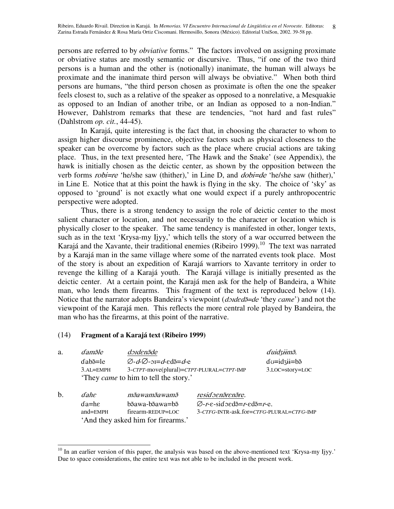persons are referred to by *obviative* forms." The factors involved on assigning proximate or obviative status are mostly semantic or discursive. Thus, "if one of the two third persons is a human and the other is (notionally) inanimate, the human will always be proximate and the inanimate third person will always be obviative." When both third persons are humans, "the third person chosen as proximate is often the one the speaker feels closest to, such as a relative of the speaker as opposed to a nonrelative, a Mesquakie as opposed to an Indian of another tribe, or an Indian as opposed to a non-Indian." However, Dahlstrom remarks that these are tendencies, "not hard and fast rules" (Dahlstrom *op. cit.*, 44-45).

In Karajá, quite interesting is the fact that, in choosing the character to whom to assign higher discourse prominence, objective factors such as physical closeness to the speaker can be overcome by factors such as the place where crucial actions are taking place. Thus, in the text presented here, 'The Hawk and the Snake' (see Appendix), the hawk is initially chosen as the deictic center, as shown by the opposition between the verb forms  $robi = re$  'he/she saw (thither),' in Line D, and  $dobi = de$  'he/she saw (hither),' in Line E. Notice that at this point the hawk is flying in the sky. The choice of 'sky' as opposed to 'ground' is not exactly what one would expect if a purely anthropocentric perspective were adopted.

Thus, there is a strong tendency to assign the role of deictic center to the most salient character or location, and not necessarily to the character or location which is physically closer to the speaker. The same tendency is manifested in other, longer texts, such as in the text 'Krysa-my Ijyy,' which tells the story of a war occurred between the Karajá and the Xavante, their traditional enemies (Ribeiro 1999).<sup>10</sup> The text was narrated by a Karajá man in the same village where some of the narrated events took place. Most of the story is about an expedition of Karajá warriors to Xavante territory in order to revenge the killing of a Karajá youth. The Karajá village is initially presented as the deictic center. At a certain point, the Karajá men ask for the help of Bandeira, a White man, who lends them firearms. This fragment of the text is reproduced below (14). Notice that the narrator adopts Bandeira's viewpoint (*dorded* 5=*de* 'they *came*') and not the viewpoint of the Karajá men. This reflects the more central role played by Bandeira, the man who has the firearms, at this point of the narrative.

## (14) **Fragment of a Karajá text (Ribeiro 1999)**

'And they asked him for firearms.'

| a. | damõle                   | dəndenəde                                                                                    |                                                             | duidziimõ.                              |
|----|--------------------------|----------------------------------------------------------------------------------------------|-------------------------------------------------------------|-----------------------------------------|
|    | $dab\tilde{\theta} = le$ | $\varnothing$ - <i>d</i> - $\varnothing$ - $\varnothing$ - $\varnothing$ -ed $\tilde{=}$ d-e |                                                             | $d\upsilon = id\varsigma + ib\varsigma$ |
|    | $3.AL=EMPH$              | 3-CTPT-move(plural)=CTPT-PLURAL=CTPT-IMP                                                     |                                                             | 3.LOC=story=LOC                         |
|    |                          | 'They <i>came</i> to him to tell the story.'                                                 |                                                             |                                         |
| b. | <i>dahe</i>              | mãawamãawamã                                                                                 | residoenãrenãre.                                            |                                         |
|    | $da = he$                | bãawa-bãawa=bã                                                                               | $\varnothing$ -r-e-sidoed $\tilde{=}$ r-ed $\tilde{=}$ r-e. |                                         |
|    | $and$ = $EMPH$           | firearm-REDUP=LOC                                                                            | 3-CTFG-INTR-ask.for=CTFG-PLURAL=CTFG-IMP                    |                                         |

 $10$  In an earlier version of this paper, the analysis was based on the above-mentioned text 'Krysa-my Ijyy.' Due to space considerations, the entire text was not able to be included in the present work.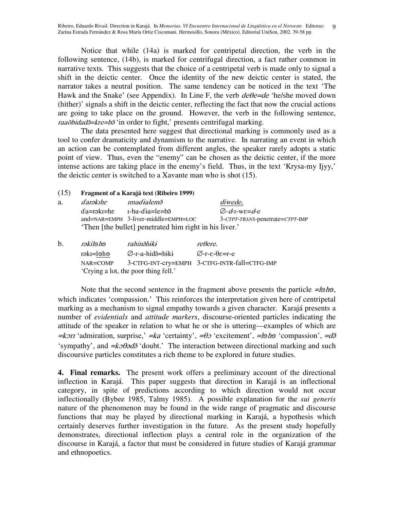Ribeiro, Eduardo Rivail. Direction in Karajá. In *Memorias. VI Encuentro Internacional de Lingüística en el Noroeste*. Editoras: 9 Zarina Estrada Fernández & Rosa María Ortiz Ciscomani. Hermosillo, Sonora (México). Editorial UniSon, 2002. 39-58 pp.

Notice that while (14a) is marked for centripetal direction, the verb in the following sentence, (14b), is marked for centrifugal direction, a fact rather common in narrative texts. This suggests that the choice of a centripetal verb is made only to signal a shift in the deictic center. Once the identity of the new deictic center is stated, the narrator takes a neutral position. The same tendency can be noticed in the text 'The Hawk and the Snake' (see Appendix). In Line F, the verb  $de\theta = de$  'he/she moved down (hither)' signals a shift in the deictic center, reflecting the fact that now the crucial actions are going to take place on the ground. However, the verb in the following sentence, raaõbidad<sup>5</sup>=kre=b<sup>3</sup> 'in order to fight,' presents centrifugal marking.

The data presented here suggest that directional marking is commonly used as a tool to confer dramaticity and dynamism to the narrative. In narrating an event in which an action can be contemplated from different angles, the speaker rarely adopts a static point of view. Thus, even the "enemy" can be chosen as the deictic center, if the more intense actions are taking place in the enemy's field. Thus, in the text 'Krysa-my Ijyy,' the deictic center is switched to a Xavante man who is shot (15).

## (15) **Fragment of a Karajá text (Ribeiro 1999)**

| a. | darəkibe | <i>madialem</i> õ                                                         | <i>diwede.</i>                              |
|----|----------|---------------------------------------------------------------------------|---------------------------------------------|
|    |          | $da = r \Rightarrow kI = h \Rightarrow I - ba - dia = le = h \Rightarrow$ | $\varnothing$ - <i>d</i> -I-we= <i>d</i> -e |
|    |          | $and=NAR=EMPH$ 3-liver-middle=EMPH=LOC                                    | 3-CTPT-TRANS-penetrate=CTPT-IMP             |
|    |          | 'Then [the bullet] penetrated him right in his liver.'                    |                                             |

| h. | rəkilə hə                            | rahinəhiki      | $re \theta$ ere.                              |
|----|--------------------------------------|-----------------|-----------------------------------------------|
|    | rəkī=ləhə                            | ⊘-r-a-hidə=hiki | $\varnothing$ -r-ε-θε=r-e                     |
|    | NAR=COMP                             |                 | 3-CTFG-INT-cry=EMPH 3-CTFG-INTR-fall=CTFG-IMP |
|    | 'Crying a lot, the poor thing fell.' |                 |                                               |

Note that the second sentence in the fragment above presents the particle  $=\frac{1}{\theta}$  he, which indicates 'compassion.' This reinforces the interpretation given here of centripetal marking as a mechanism to signal empathy towards a given character. Karajá presents a number of *evidentials* and *attitude markers*, discourse-oriented particles indicating the attitude of the speaker in relation to what he or she is uttering—examples of which are  $\neq$ *kort* 'admiration, surprise,'  $\neq$ *ka* 'certainty',  $\neq$ *θo* 'excitement',  $\neq$ *la* 'compassion',  $\neq$ *d*<sup>3</sup> 'sympathy', and  $=k \partial \theta \partial \partial \tilde{\partial}$ 'doubt.' The interaction between directional marking and such discoursive particles constitutes a rich theme to be explored in future studies.

**4. Final remarks.** The present work offers a preliminary account of the directional inflection in Karajá. This paper suggests that direction in Karajá is an inflectional category, in spite of predictions according to which direction would not occur inflectionally (Bybee 1985, Talmy 1985). A possible explanation for the *sui generis* nature of the phenomenon may be found in the wide range of pragmatic and discourse functions that may be played by directional marking in Karajá, a hypothesis which certainly deserves further investigation in the future. As the present study hopefully demonstrates, directional inflection plays a central role in the organization of the discourse in Karajá, a factor that must be considered in future studies of Karajá grammar and ethnopoetics.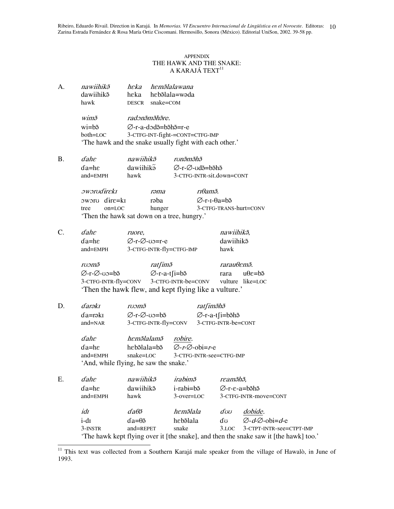Ribeiro, Eduardo Rivail. Direction in Karajá. In *Memorias. VI Encuentro Internacional de Lingüística en el Noroeste*. Editoras: 10 Zarina Estrada Fernández & Rosa María Ortiz Ciscomani. Hermosillo, Sonora (México). Editorial UniSon, 2002. 39-58 pp.

## APPENDIX THE HAWK AND THE SNAKE: A KARAJÁ TEXT $^{\mathrm{11}}$

A. *nawiihikõ* heka hemãlalawana dawiihikõ heka lala=wəda hawk DESCR snake=COM

> wimõ i radənəməhəre.  $w$ i=b $\tilde{a}$ Ø-r-a-dɔdə̃=bə̃hə̃=r-e both=LOC 3-CTFG-INT-fight-=CONT=CTFG-IMP 'The hawk and the snake usually fight with each other.'

B. *dahe nawiihik*õ i runðmðhð  $da = he$  dawiihik $\tilde{a}$ Ø-r-Ø-udã=bãhã and=EMPH hawk 3-CTFG-INTR-sit.down=CONT

> *oworudireki* rəma ma rīfamã. ba Ø-r-1-θa=b<del>õ</del> tree on=LOC hunger 3-CTFG-TRANS-hurt=CONV 'Then the hawk sat down on a tree, hungry.'

C. *dahe ruore*, mawiihikõ,  $da = he$ r-Ø-v0=rdawiihikõ and=EMPH 3-CTFG-INTR-fly=CTFG-IMP hawk

> ruomõ *s ratfim* $\tilde{z}$  $r$ arau $\theta$ em $\tilde{o}$ . Ø-r-Ø-uɔ=bə̃ ⊘-r-a-t∫i=bə̃ rara  $u\theta \varepsilon = b\tilde{\Theta}$ 3-CTFG-INTR-fly=CONV 3-CTFG-INTR-be=CONV vulture like=LOC 'Then the hawk flew, and kept flying like a vulture.'

D. *darəki* kı roəmə *i* ratfimõhõ  $da = r \ni kI$ kı ∅-r-Ø-uɔ=bə̃ ⊘-r-a-t∫i=bə̃hə̃ and=NAR 3-CTFG-INTR-fly=CONV 3-CTFG-INTR-be=CONT

> dahe heməlalamə robire.  $da = he$ hebəlala=bə  $\varnothing$ -r- $\varnothing$ -obi=r-e and=EMPH snake=LOC 3-CTFG-INTR-see=CTFG-IMP 'And, while flying, he saw the snake.'

| Е. | $d$ ah $\varepsilon$ | nawiihikõ             | irabimõ       | reamõhõ,              |                                                                                       |  |  |
|----|----------------------|-----------------------|---------------|-----------------------|---------------------------------------------------------------------------------------|--|--|
|    | $da = he$            | dawiihik <sup>3</sup> | i-rabi=bõ     |                       | Ø-r-ε-a=bə̃hə̃                                                                        |  |  |
|    | $and = EMPH$         | hawk                  | $3$ -over=LOC | 3-CTFG-INTR-move=CONT |                                                                                       |  |  |
|    | idt                  | dališ                 | hemõlala      | dvv                   | dobide.                                                                               |  |  |
|    | $i-dr$               | $da = \theta$         | hebəlala      | d'o                   | $\varnothing$ - $d$ - $\varnothing$ -obi= $d$ -e                                      |  |  |
|    | 3-INSTR              | $and =$ REPET         | snake         | 3.LOC                 | 3-CTPT-INTR-see=CTPT-IMP                                                              |  |  |
|    |                      |                       |               |                       | 'The hawk kept flying over it [the snake], and then the snake saw it [the hawk] too.' |  |  |

<sup>&</sup>lt;sup>11</sup> This text was collected from a Southern Karajá male speaker from the village of Hawalò, in June of 1993.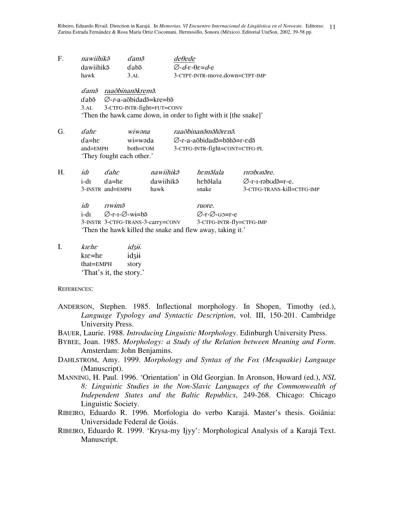Ribeiro, Eduardo Rivail. Direction in Karajá. In *Memorias. VI Encuentro Internacional de Lingüística en el Noroeste*. Editoras: 11 Zarina Estrada Fernández & Rosa María Ortiz Ciscomani. Hermosillo, Sonora (México). Editorial UniSon, 2002. 39-58 pp.

| F. | nawiihikõ                                                        |                                           | damõ          |           | $de\theta$ ede                                                                     |                                            |                            |  |  |  |  |
|----|------------------------------------------------------------------|-------------------------------------------|---------------|-----------|------------------------------------------------------------------------------------|--------------------------------------------|----------------------------|--|--|--|--|
|    | dawiihik <sup>3</sup>                                            |                                           | dabõ          |           |                                                                                    | $\varnothing$ - $d$ -e- $\theta$ e= $d$ -e |                            |  |  |  |  |
|    | hawk                                                             |                                           | 3.AL          |           |                                                                                    | 3-CTPT-INTR-move.down=CTPT-IMP             |                            |  |  |  |  |
|    | dam $\tilde{p}$ raaõbinan $\tilde{p}$ krem $\tilde{p}$ .         |                                           |               |           |                                                                                    |                                            |                            |  |  |  |  |
|    | ⊘- <i>r</i> -a-aõbidad <sup>5</sup> =kre=b <sup>5</sup><br>ɗabã  |                                           |               |           |                                                                                    |                                            |                            |  |  |  |  |
|    | 3-CTFG-INTR-fight=FUT=CONV<br>3.AL                               |                                           |               |           |                                                                                    |                                            |                            |  |  |  |  |
|    | 'Then the hawk came down, in order to fight with it [the snake]' |                                           |               |           |                                                                                    |                                            |                            |  |  |  |  |
| G. | $d$ ahe                                                          |                                           | wiwana        |           | raaõbinanõmõhõrenõ.                                                                |                                            |                            |  |  |  |  |
|    | $da = he$                                                        |                                           | wi=wəda       |           | $\varnothing$ -r-a-a $\delta$ bidad $\delta$ =b $\delta$ h $\delta$ =r-ed $\delta$ |                                            |                            |  |  |  |  |
|    | $and = EMPH$<br>$both=COM$                                       |                                           |               |           | 3-CTFG-INTR-fight=CONT=CTFG-PL                                                     |                                            |                            |  |  |  |  |
|    |                                                                  | 'They fought each other.'                 |               |           |                                                                                    |                                            |                            |  |  |  |  |
| H. | idr                                                              | $d$ ahe                                   |               | nawiihikõ |                                                                                    | hemõlala                                   | rırəbonãre.                |  |  |  |  |
|    | i-dī                                                             | $da = he$                                 |               | dawiihikõ |                                                                                    | hebəlala                                   | Ø-r-I-rabudã=r-e.          |  |  |  |  |
|    |                                                                  | 3-INSTR and=EMPH                          |               | hawk      |                                                                                    | snake                                      | 3-CTFG-TRANS-kill=CTFG-IMP |  |  |  |  |
|    | idī<br>riwim $\tilde{o}$                                         |                                           |               | ruore.    |                                                                                    |                                            |                            |  |  |  |  |
|    | $i-dI$                                                           | $\varnothing$ -r-1- $\varnothing$ -wi=bə̃ |               |           | $\varnothing$ -r- $\varnothing$ -vo=r-e                                            |                                            |                            |  |  |  |  |
|    | 3-INSTR 3-CTFG-TRANS-3-carry=CONV                                |                                           |               |           | 3-CTFG-INTR-fly=CTFG-IMP                                                           |                                            |                            |  |  |  |  |
|    | 'Then the hawk killed the snake and flew away, taking it.'       |                                           |               |           |                                                                                    |                                            |                            |  |  |  |  |
| I. | kiehe                                                            |                                           | <i>idzii.</i> |           |                                                                                    |                                            |                            |  |  |  |  |

 $k\bar{\epsilon}$ =h $\epsilon$  idzii that=EMPH story 'That's it, the story.'

REFERENCES:

- ANDERSON, Stephen. 1985. Inflectional morphology. In Shopen, Timothy (ed.), *Language Typology and Syntactic Description*, vol. III, 150-201. Cambridge University Press.
- BAUER, Laurie. 1988. *Introducing Linguistic Morphology*. Edinburgh University Press.
- BYBEE, Joan. 1985. *Morphology: a Study of the Relation between Meaning and Form*. Amsterdam: John Benjamins.
- DAHLSTROM, Amy. 1999. *Morphology and Syntax of the Fox (Mesquakie) Language* (Manuscript).
- MANNING, H. Paul. 1996. 'Orientation' in Old Georgian. In Aronson, Howard (ed.), *NSL 8: Linguistic Studies in the Non-Slavic Languages of the Commonwealth of Independent States and the Baltic Republics*, 249-268. Chicago: Chicago Linguistic Society.
- RIBEIRO, Eduardo R. 1996. Morfologia do verbo Karajá. Master's thesis. Goiânia: Universidade Federal de Goiás.
- RIBEIRO, Eduardo R. 1999. 'Krysa-my Ijyy': Morphological Analysis of a Karajá Text. Manuscript.